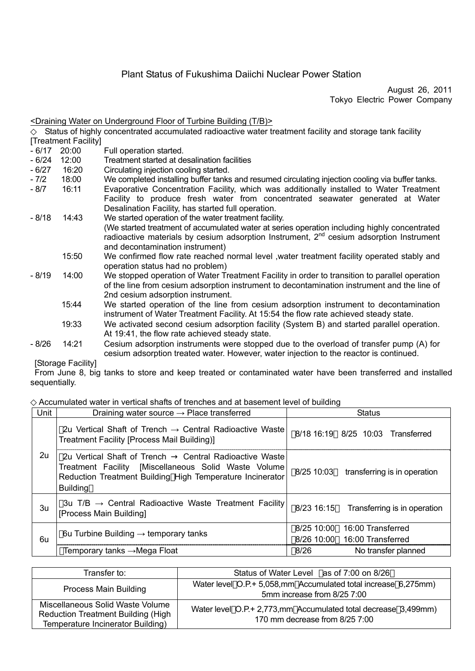# Plant Status of Fukushima Daiichi Nuclear Power Station

August 26, 2011 Tokyo Electric Power Company

## <Draining Water on Underground Floor of Turbine Building (T/B)>

Status of highly concentrated accumulated radioactive water treatment facility and storage tank facility [Treatment Facility]

- 6/17 20:00 Full operation started.<br>- 6/24 12:00 Treatment started at de
- Treatment started at desalination facilities
- 6/27 16:20 Circulating injection cooling started.
- 7/2 18:00 We completed installing buffer tanks and resumed circulating injection cooling via buffer tanks.<br>- 8/7 16:11 Evaporative Concentration Facility which was additionally installed to Water Treatmen
- Evaporative Concentration Facility, which was additionally installed to Water Treatment Facility to produce fresh water from concentrated seawater generated at Water Desalination Facility, has started full operation.
- 8/18 14:43 We started operation of the water treatment facility. (We started treatment of accumulated water at series operation including highly concentrated radioactive materials by cesium adsorption Instrument, 2<sup>nd</sup> cesium adsorption Instrument and decontamination instrument)
	- 15:50 We confirmed flow rate reached normal level ,water treatment facility operated stably and operation status had no problem)
- 8/19 14:00 We stopped operation of Water Treatment Facility in order to transition to parallel operation of the line from cesium adsorption instrument to decontamination instrument and the line of 2nd cesium adsorption instrument.
	- 15:44 We started operation of the line from cesium adsorption instrument to decontamination instrument of Water Treatment Facility. At 15:54 the flow rate achieved steady state.
	- 19:33 We activated second cesium adsorption facility (System B) and started parallel operation. At 19:41, the flow rate achieved steady state.
- 8/26 14:21 Cesium adsorption instruments were stopped due to the overload of transfer pump (A) for cesium adsorption treated water. However, water injection to the reactor is continued.

[Storage Facility]

From June 8, big tanks to store and keep treated or contaminated water have been transferred and installed sequentially.

#### Accumulated water in vertical shafts of trenches and at basement level of building

| Unit | Draining water source $\rightarrow$ Place transferred                                                                                                                                          | <b>Status</b> |                                   |
|------|------------------------------------------------------------------------------------------------------------------------------------------------------------------------------------------------|---------------|-----------------------------------|
| 2u   | 2u Vertical Shaft of Trench $\rightarrow$ Central Radioactive Waste<br>Treatment Facility [Process Mail Building)]                                                                             |               | 8/18 16:19 8/25 10:03 Transferred |
|      | 2u Vertical Shaft of Trench Central Radioactive Waste<br>Treatment Facility [Miscellaneous Solid Waste Volume]<br>Reduction Treatment Building High Temperature Incinerator<br><b>Building</b> | 8/25 10:03    | transferring is in operation      |
| 3u   | 3u T/B $\rightarrow$ Central Radioactive Waste Treatment Facility<br>[Process Main Building]                                                                                                   | 8/23 16:15    | Transferring is in operation      |
| 6u   | 6u Turbine Building $\rightarrow$ temporary tanks                                                                                                                                              | 8/25 10:00    | 16:00 Transferred                 |
|      |                                                                                                                                                                                                | 8/26 10:00    | 16:00 Transferred                 |
|      | Temporary tanks $\rightarrow$ Mega Float                                                                                                                                                       | 8/26          | No transfer planned               |

| Transfer to:                                                                                                       | Status of Water Level as of 7:00 on 8/26                                                         |
|--------------------------------------------------------------------------------------------------------------------|--------------------------------------------------------------------------------------------------|
| Process Main Building                                                                                              | Water level O.P.+ 5,058,mm Accumulated total increase 6,275mm)<br>5mm increase from 8/25 7:00    |
| Miscellaneous Solid Waste Volume<br><b>Reduction Treatment Building (High</b><br>Temperature Incinerator Building) | Water level O.P.+ 2,773,mm Accumulated total decrease 3,499mm)<br>170 mm decrease from 8/25 7:00 |